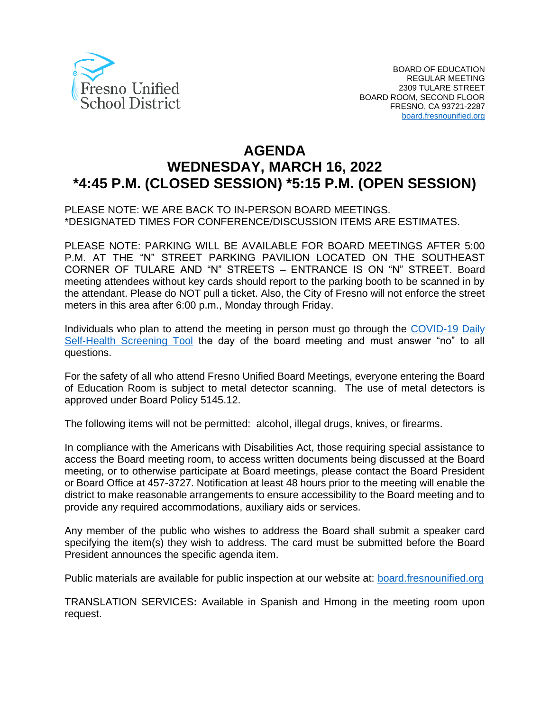

# **AGENDA WEDNESDAY, MARCH 16, 2022 \*4:45 P.M. (CLOSED SESSION) \*5:15 P.M. (OPEN SESSION)**

#### PLEASE NOTE: WE ARE BACK TO IN-PERSON BOARD MEETINGS. \*DESIGNATED TIMES FOR CONFERENCE/DISCUSSION ITEMS ARE ESTIMATES.

PLEASE NOTE: PARKING WILL BE AVAILABLE FOR BOARD MEETINGS AFTER 5:00 P.M. AT THE "N" STREET PARKING PAVILION LOCATED ON THE SOUTHEAST CORNER OF TULARE AND "N" STREETS – ENTRANCE IS ON "N" STREET. Board meeting attendees without key cards should report to the parking booth to be scanned in by the attendant. Please do NOT pull a ticket. Also, the City of Fresno will not enforce the street meters in this area after 6:00 p.m., Monday through Friday.

Individuals who plan to attend the meeting in person must go through the [COVID-19 Daily](https://www.fresnounified.org/covid19/) [Self-Health Screening Tool](https://www.fresnounified.org/covid19/) the day of the board meeting and must answer "no" to all questions.

For the safety of all who attend Fresno Unified Board Meetings, everyone entering the Board of Education Room is subject to metal detector scanning. The use of metal detectors is approved under Board Policy 5145.12.

The following items will not be permitted: alcohol, illegal drugs, knives, or firearms.

In compliance with the Americans with Disabilities Act, those requiring special assistance to access the Board meeting room, to access written documents being discussed at the Board meeting, or to otherwise participate at Board meetings, please contact the Board President or Board Office at 457-3727. Notification at least 48 hours prior to the meeting will enable the district to make reasonable arrangements to ensure accessibility to the Board meeting and to provide any required accommodations, auxiliary aids or services.

Any member of the public who wishes to address the Board shall submit a speaker card specifying the item(s) they wish to address. The card must be submitted before the Board President announces the specific agenda item.

Public materials are available for public inspection at our website at: [board.fresnounified.org](https://board.fresnounified.org/)

TRANSLATION SERVICES**:** Available in Spanish and Hmong in the meeting room upon request.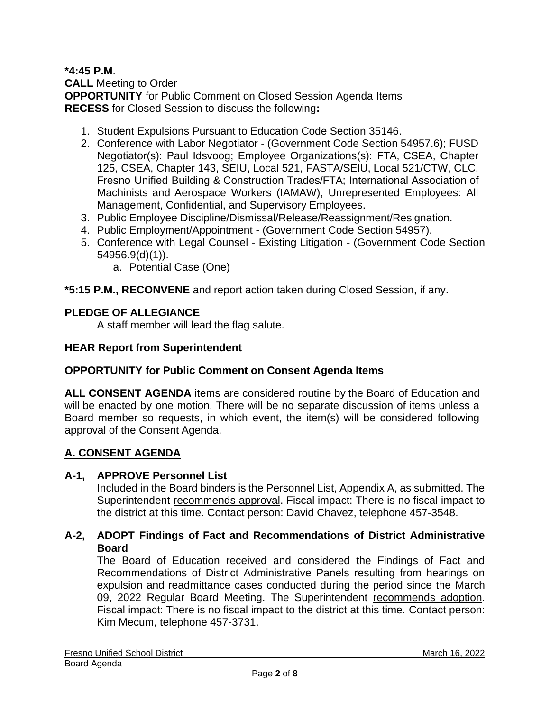#### **\*4:45 P.M**. **CALL** Meeting to Order **OPPORTUNITY** for Public Comment on Closed Session Agenda Items **RECESS** for Closed Session to discuss the following**:**

- 1. Student Expulsions Pursuant to Education Code Section 35146.
- 2. Conference with Labor Negotiator (Government Code Section 54957.6); FUSD Negotiator(s): Paul Idsvoog; Employee Organizations(s): FTA, CSEA, Chapter 125, CSEA, Chapter 143, SEIU, Local 521, FASTA/SEIU, Local 521/CTW, CLC, Fresno Unified Building & Construction Trades/FTA; International Association of Machinists and Aerospace Workers (IAMAW), Unrepresented Employees: All Management, Confidential, and Supervisory Employees.
- 3. Public Employee Discipline/Dismissal/Release/Reassignment/Resignation.
- 4. Public Employment/Appointment (Government Code Section 54957).
- 5. Conference with Legal Counsel Existing Litigation (Government Code Section 54956.9(d)(1)).
	- a. Potential Case (One)

#### **\*5:15 P.M., RECONVENE** and report action taken during Closed Session, if any.

### **PLEDGE OF ALLEGIANCE**

A staff member will lead the flag salute.

#### **HEAR Report from Superintendent**

#### **OPPORTUNITY for Public Comment on Consent Agenda Items**

**ALL CONSENT AGENDA** items are considered routine by the Board of Education and will be enacted by one motion. There will be no separate discussion of items unless a Board member so requests, in which event, the item(s) will be considered following approval of the Consent Agenda.

### **A. CONSENT AGENDA**

#### **A-1, APPROVE Personnel List**

Included in the Board binders is the Personnel List, Appendix A, as submitted. The Superintendent recommends approval. Fiscal impact: There is no fiscal impact to the district at this time. Contact person: David Chavez, telephone 457-3548.

### **A-2, ADOPT Findings of Fact and Recommendations of District Administrative Board**

The Board of Education received and considered the Findings of Fact and Recommendations of District Administrative Panels resulting from hearings on expulsion and readmittance cases conducted during the period since the March 09, 2022 Regular Board Meeting. The Superintendent recommends adoption. Fiscal impact: There is no fiscal impact to the district at this time. Contact person: Kim Mecum, telephone 457-3731.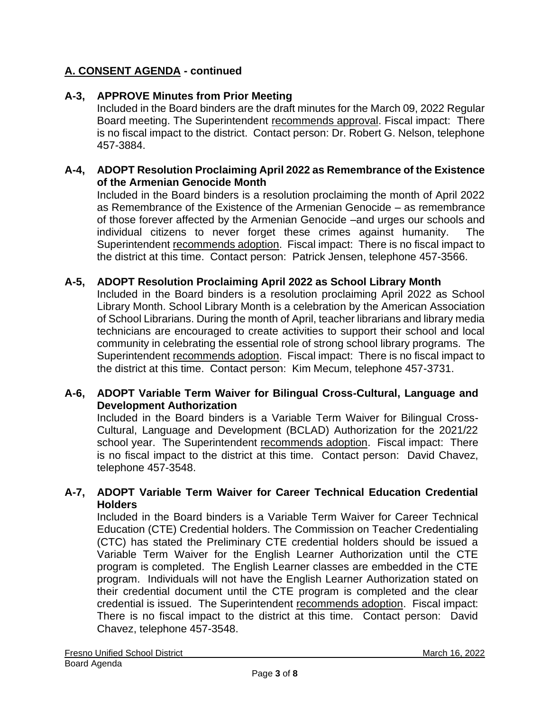# **A. CONSENT AGENDA - continued**

### **A-3, APPROVE Minutes from Prior Meeting**

Included in the Board binders are the draft minutes for the March 09, 2022 Regular Board meeting. The Superintendent recommends approval. Fiscal impact: There is no fiscal impact to the district. Contact person: Dr. Robert G. Nelson, telephone 457-3884.

#### **A-4, ADOPT Resolution Proclaiming April 2022 as Remembrance of the Existence of the Armenian Genocide Month**

Included in the Board binders is a resolution proclaiming the month of April 2022 as Remembrance of the Existence of the Armenian Genocide – as remembrance of those forever affected by the Armenian Genocide –and urges our schools and individual citizens to never forget these crimes against humanity. The Superintendent recommends adoption. Fiscal impact: There is no fiscal impact to the district at this time. Contact person: Patrick Jensen, telephone 457-3566.

#### **A-5, ADOPT Resolution Proclaiming April 2022 as School Library Month**

Included in the Board binders is a resolution proclaiming April 2022 as School Library Month. School Library Month is a celebration by the American Association of School Librarians. During the month of April, teacher librarians and library media technicians are encouraged to create activities to support their school and local community in celebrating the essential role of strong school library programs. The Superintendent recommends adoption. Fiscal impact: There is no fiscal impact to the district at this time. Contact person: Kim Mecum, telephone 457-3731.

#### **A-6, ADOPT Variable Term Waiver for Bilingual Cross-Cultural, Language and Development Authorization**

Included in the Board binders is a Variable Term Waiver for Bilingual Cross-Cultural, Language and Development (BCLAD) Authorization for the 2021/22 school year. The Superintendent recommends adoption. Fiscal impact: There is no fiscal impact to the district at this time. Contact person: David Chavez, telephone 457-3548.

#### **A-7, ADOPT Variable Term Waiver for Career Technical Education Credential Holders**

Included in the Board binders is a Variable Term Waiver for Career Technical Education (CTE) Credential holders. The Commission on Teacher Credentialing (CTC) has stated the Preliminary CTE credential holders should be issued a Variable Term Waiver for the English Learner Authorization until the CTE program is completed. The English Learner classes are embedded in the CTE program. Individuals will not have the English Learner Authorization stated on their credential document until the CTE program is completed and the clear credential is issued. The Superintendent recommends adoption. Fiscal impact: There is no fiscal impact to the district at this time. Contact person: David Chavez, telephone 457-3548.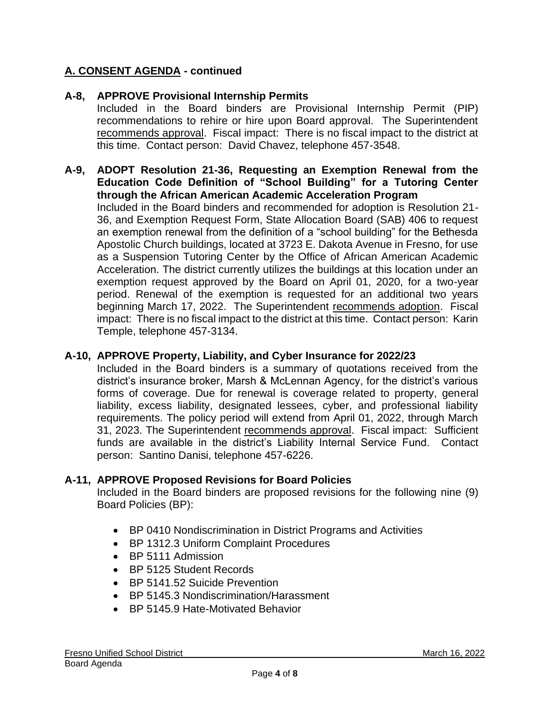# **A. CONSENT AGENDA - continued**

### **A-8, APPROVE Provisional Internship Permits**

Included in the Board binders are Provisional Internship Permit (PIP) recommendations to rehire or hire upon Board approval. The Superintendent recommends approval. Fiscal impact: There is no fiscal impact to the district at this time. Contact person: David Chavez, telephone 457-3548.

#### **A-9, ADOPT Resolution 21-36, Requesting an Exemption Renewal from the Education Code Definition of "School Building" for a Tutoring Center through the African American Academic Acceleration Program**

Included in the Board binders and recommended for adoption is Resolution 21- 36, and Exemption Request Form, State Allocation Board (SAB) 406 to request an exemption renewal from the definition of a "school building" for the Bethesda Apostolic Church buildings, located at 3723 E. Dakota Avenue in Fresno, for use as a Suspension Tutoring Center by the Office of African American Academic Acceleration. The district currently utilizes the buildings at this location under an exemption request approved by the Board on April 01, 2020, for a two-year period. Renewal of the exemption is requested for an additional two years beginning March 17, 2022. The Superintendent recommends adoption. Fiscal impact: There is no fiscal impact to the district at this time. Contact person: Karin Temple, telephone 457-3134.

### **A-10, APPROVE Property, Liability, and Cyber Insurance for 2022/23**

Included in the Board binders is a summary of quotations received from the district's insurance broker, Marsh & McLennan Agency, for the district's various forms of coverage. Due for renewal is coverage related to property, general liability, excess liability, designated lessees, cyber, and professional liability requirements. The policy period will extend from April 01, 2022, through March 31, 2023. The Superintendent recommends approval. Fiscal impact: Sufficient funds are available in the district's Liability Internal Service Fund. Contact person: Santino Danisi, telephone 457-6226.

#### **A-11, APPROVE Proposed Revisions for Board Policies**

Included in the Board binders are proposed revisions for the following nine (9) Board Policies (BP):

- BP 0410 Nondiscrimination in District Programs and Activities
- BP 1312.3 Uniform Complaint Procedures
- BP 5111 Admission
- BP 5125 Student Records
- BP 5141.52 Suicide Prevention
- BP 5145.3 Nondiscrimination/Harassment
- BP 5145.9 Hate-Motivated Behavior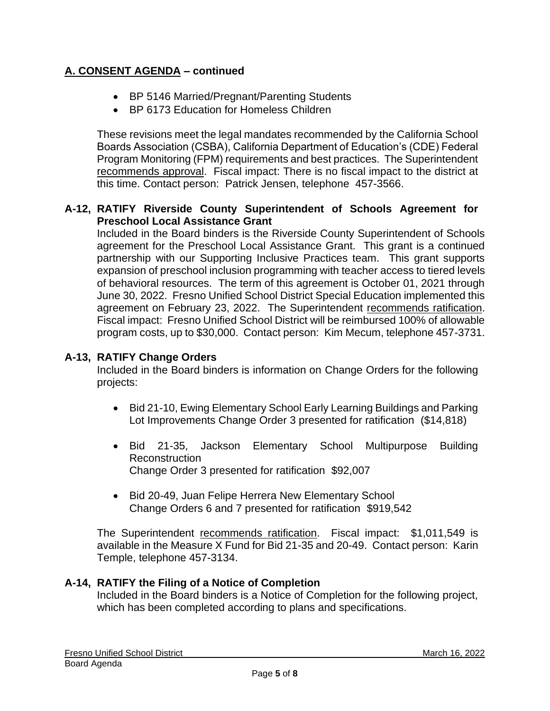# **A. CONSENT AGENDA – continued**

- BP 5146 Married/Pregnant/Parenting Students
- BP 6173 Education for Homeless Children

These revisions meet the legal mandates recommended by the California School Boards Association (CSBA), California Department of Education's (CDE) Federal Program Monitoring (FPM) requirements and best practices. The Superintendent recommends approval. Fiscal impact: There is no fiscal impact to the district at this time. Contact person: Patrick Jensen, telephone 457-3566.

#### **A-12, RATIFY Riverside County Superintendent of Schools Agreement for Preschool Local Assistance Grant**

Included in the Board binders is the Riverside County Superintendent of Schools agreement for the Preschool Local Assistance Grant. This grant is a continued partnership with our Supporting Inclusive Practices team. This grant supports expansion of preschool inclusion programming with teacher access to tiered levels of behavioral resources. The term of this agreement is October 01, 2021 through June 30, 2022. Fresno Unified School District Special Education implemented this agreement on February 23, 2022. The Superintendent recommends ratification. Fiscal impact: Fresno Unified School District will be reimbursed 100% of allowable program costs, up to \$30,000. Contact person: Kim Mecum, telephone 457-3731.

### **A-13, RATIFY Change Orders**

Included in the Board binders is information on Change Orders for the following projects:

- Bid 21-10, Ewing Elementary School Early Learning Buildings and Parking Lot Improvements Change Order 3 presented for ratification (\$14,818)
- Bid 21-35, Jackson Elementary School Multipurpose Building Reconstruction Change Order 3 presented for ratification \$92,007
- Bid 20-49, Juan Felipe Herrera New Elementary School Change Orders 6 and 7 presented for ratification \$919,542

The Superintendent recommends ratification. Fiscal impact: \$1,011,549 is available in the Measure X Fund for Bid 21-35 and 20-49. Contact person: Karin Temple, telephone 457-3134.

### **A-14, RATIFY the Filing of a Notice of Completion**

Included in the Board binders is a Notice of Completion for the following project, which has been completed according to plans and specifications.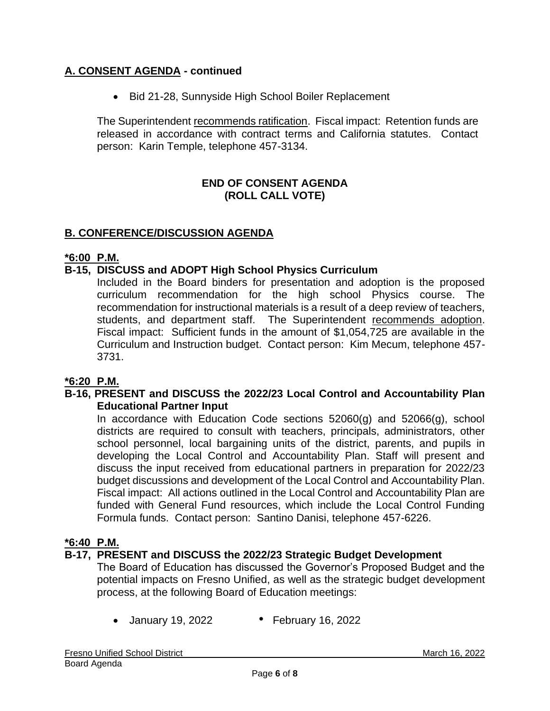# **A. CONSENT AGENDA - continued**

• Bid 21-28, Sunnyside High School Boiler Replacement

The Superintendent recommends ratification. Fiscal impact: Retention funds are released in accordance with contract terms and California statutes. Contact person: Karin Temple, telephone 457-3134.

#### **END OF CONSENT AGENDA (ROLL CALL VOTE)**

# **B. CONFERENCE/DISCUSSION AGENDA**

#### **\*6:00 P.M.**

#### **B-15, DISCUSS and ADOPT High School Physics Curriculum**

Included in the Board binders for presentation and adoption is the proposed curriculum recommendation for the high school Physics course. The recommendation for instructional materials is a result of a deep review of teachers, students, and department staff. The Superintendent recommends adoption. Fiscal impact: Sufficient funds in the amount of \$1,054,725 are available in the Curriculum and Instruction budget. Contact person: Kim Mecum, telephone 457- 3731.

### **\*6:20 P.M.**

#### **B-16, PRESENT and DISCUSS the 2022/23 Local Control and Accountability Plan Educational Partner Input**

In accordance with Education Code sections  $52060(q)$  and  $52066(q)$ , school districts are required to consult with teachers, principals, administrators, other school personnel, local bargaining units of the district, parents, and pupils in developing the Local Control and Accountability Plan. Staff will present and discuss the input received from educational partners in preparation for 2022/23 budget discussions and development of the Local Control and Accountability Plan. Fiscal impact: All actions outlined in the Local Control and Accountability Plan are funded with General Fund resources, which include the Local Control Funding Formula funds. Contact person: Santino Danisi, telephone 457-6226.

#### **\*6:40 P.M.**

### **B-17, PRESENT and DISCUSS the 2022/23 Strategic Budget Development**

The Board of Education has discussed the Governor's Proposed Budget and the potential impacts on Fresno Unified, as well as the strategic budget development process, at the following Board of Education meetings:

• January 19, 2022 • February 16, 2022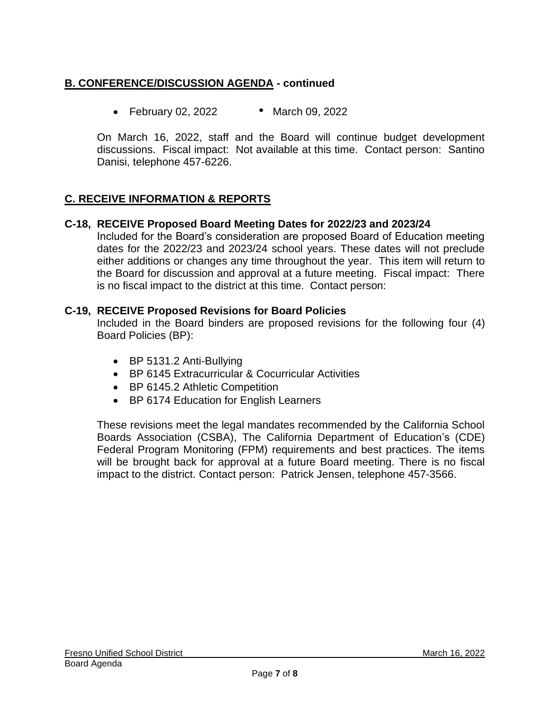# **B. CONFERENCE/DISCUSSION AGENDA - continued**

• February 02, 2022 • March 09, 2022

On March 16, 2022, staff and the Board will continue budget development discussions. Fiscal impact: Not available at this time. Contact person: Santino Danisi, telephone 457-6226.

# **C. RECEIVE INFORMATION & REPORTS**

#### **C-18, RECEIVE Proposed Board Meeting Dates for 2022/23 and 2023/24**

Included for the Board's consideration are proposed Board of Education meeting dates for the 2022/23 and 2023/24 school years. These dates will not preclude either additions or changes any time throughout the year. This item will return to the Board for discussion and approval at a future meeting. Fiscal impact: There is no fiscal impact to the district at this time. Contact person:

#### **C-19, RECEIVE Proposed Revisions for Board Policies**

Included in the Board binders are proposed revisions for the following four (4) Board Policies (BP):

- BP 5131.2 Anti-Bullying
- BP 6145 Extracurricular & Cocurricular Activities
- BP 6145.2 Athletic Competition
- BP 6174 Education for English Learners

These revisions meet the legal mandates recommended by the California School Boards Association (CSBA), The California Department of Education's (CDE) Federal Program Monitoring (FPM) requirements and best practices. The items will be brought back for approval at a future Board meeting. There is no fiscal impact to the district. Contact person: Patrick Jensen, telephone 457-3566.